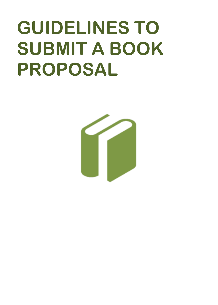## **GUIDELINES TO SUBMIT A BOOK PROPOSAL**

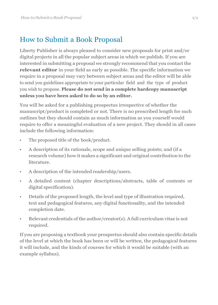## How to Submit a Book Proposal

Liberty Publisher is always pleased to consider new proposals for print and/or digital projects in all the popular subject areas in which we publish. If you are interested in submitting a proposal we strongly recommend that you contact the **relevant editor** in your field as early as possible. The specific information we require in a proposal may vary between subject areas and the editor will be able to send you guidelines appropriate to your particular field and the type of product you wish to propose. **Please do not send in a complete hardcopy manuscript unless you have been asked to do so by an editor.**

You will be asked for a publishing prospectus irrespective of whether the manuscript/product is completed or not. There is no prescribed length for such outlines but they should contain as much information as you yourself would require to offer a meaningful evaluation of a new project. They should in all cases include the following information:

- The proposed title of the book/product.
- A description of its rationale, scope and unique selling points; and (if a research volume) how it makes a significant and original contribution to the literature.
- A description of the intended readership/users.
- A detailed content (chapter descriptions/abstracts, table of contents or digital specification).
- Details of the proposed length, the level and type of illustration required, text and pedagogical features, any digital functionality, and the intended completion date.
- Relevant credentials of the author/creator(s). A full curriculum vitae is not required.

If you are proposing a textbook your prospectus should also contain specific details of the level at which the book has been or will be written, the pedagogical features it will include, and the kinds of courses for which it would be suitable (with an example syllabus).